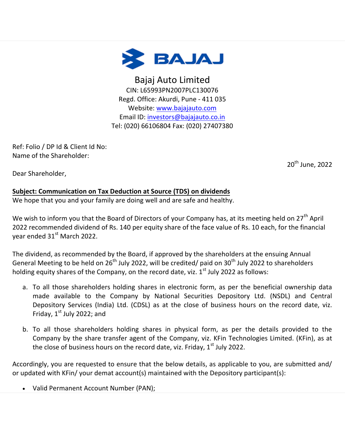

Bajaj Auto Limited CIN: L65993PN2007PLC130076 Regd. Office: Akurdi, Pune - 411 035 Website: [www.bajajauto.com](https://ind01.safelinks.protection.outlook.com/?url=http%3A%2F%2Fdelivery.kfintech.com%2FJDTEZUKR%3Fid%3D75475%3Dch9VAAUHBVJQGlAGUwUHUAYEClAMUAAAXQBVUAZSUFYIAVIDBlFSUQcDAABQV1QEBlVPD1gNDVlQFhAJUxZfB3EIA1lcRlQGDUgGXgtJVFQCBQVSCldVDAoBVFcEUwsaWRcRQAgdHgEACgxHA0ccTFxWWgpNBgZQF1sMDB0udjJ0OTB7YA1YARkQVg%3D%3D%26fl%3DWRcRQAgdHhISEUtTB18ECFZFRwsXAApV&data=05%7C01%7Ckanhai.sharma%40kfintech.com%7C4171aa458daf4b37dd9408da52a91772%7C1f05907ac524467eb2e103a361253cb5%7C0%7C0%7C637913183451890897%7CUnknown%7CTWFpbGZsb3d8eyJWIjoiMC4wLjAwMDAiLCJQIjoiV2luMzIiLCJBTiI6Ik1haWwiLCJXVCI6Mn0%3D%7C3000%7C%7C%7C&sdata=IUxqhLeTDCNpZbAreFISko0bC2yLVNtEQEfNas8WwT0%3D&reserved=0) Email ID: [investors@bajajauto.co.in](mailto:investors@bajajauto.co.in) Tel: (020) 66106804 Fax: (020) 27407380

Ref: Folio / DP Id & Client Id No: Name of the Shareholder:

20<sup>th</sup> June, 2022

Dear Shareholder,

## **Subject: Communication on Tax Deduction at Source (TDS) on dividends**

We hope that you and your family are doing well and are safe and healthy.

We wish to inform you that the Board of Directors of your Company has, at its meeting held on 27<sup>th</sup> April 2022 recommended dividend of Rs. 140 per equity share of the face value of Rs. 10 each, for the financial year ended 31<sup>st</sup> March 2022.

The dividend, as recommended by the Board, if approved by the shareholders at the ensuing Annual General Meeting to be held on 26<sup>th</sup> July 2022, will be credited/ paid on 30<sup>th</sup> July 2022 to shareholders holding equity shares of the Company, on the record date, viz.  $1^{st}$  July 2022 as follows:

- a. To all those shareholders holding shares in electronic form, as per the beneficial ownership data made available to the Company by National Securities Depository Ltd. (NSDL) and Central Depository Services (India) Ltd. (CDSL) as at the close of business hours on the record date, viz. Friday,  $1<sup>st</sup>$  July 2022; and
- b. To all those shareholders holding shares in physical form, as per the details provided to the Company by the share transfer agent of the Company, viz. KFin Technologies Limited. (KFin), as at the close of business hours on the record date, viz. Friday,  $1<sup>st</sup>$  July 2022.

Accordingly, you are requested to ensure that the below details, as applicable to you, are submitted and/ or updated with KFin/ your demat account(s) maintained with the Depository participant(s):

Valid Permanent Account Number (PAN);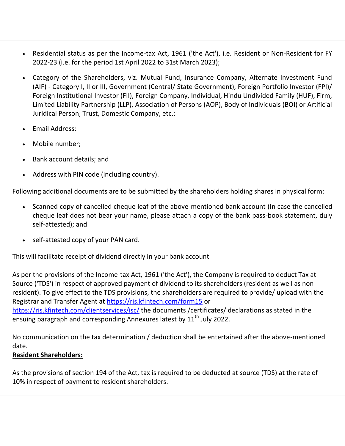- Residential status as per the Income-tax Act, 1961 ('the Act'), i.e. Resident or Non-Resident for FY 2022-23 (i.e. for the period 1st April 2022 to 31st March 2023);
- Category of the Shareholders, viz. Mutual Fund, Insurance Company, Alternate Investment Fund (AIF) - Category I, II or III, Government (Central/ State Government), Foreign Portfolio Investor (FPI)/ Foreign Institutional Investor (FII), Foreign Company, Individual, Hindu Undivided Family (HUF), Firm, Limited Liability Partnership (LLP), Association of Persons (AOP), Body of Individuals (BOI) or Artificial Juridical Person, Trust, Domestic Company, etc.;
- Email Address;
- Mobile number;
- Bank account details; and
- Address with PIN code (including country).

Following additional documents are to be submitted by the shareholders holding shares in physical form:

- Scanned copy of cancelled cheque leaf of the above-mentioned bank account (In case the cancelled cheque leaf does not bear your name, please attach a copy of the bank pass-book statement, duly self-attested); and
- self-attested copy of your PAN card.

This will facilitate receipt of dividend directly in your bank account

As per the provisions of the Income-tax Act, 1961 ('the Act'), the Company is required to deduct Tax at Source ('TDS') in respect of approved payment of dividend to its shareholders (resident as well as nonresident). To give effect to the TDS provisions, the shareholders are required to provide/ upload with the Registrar and Transfer Agent at [https://ris.kfintech.com/form15](https://ind01.safelinks.protection.outlook.com/?url=https%3A%2F%2Fris.kfintech.com%2Fform15&data=05%7C01%7Ckanhai.sharma%40kfintech.com%7C4171aa458daf4b37dd9408da52a91772%7C1f05907ac524467eb2e103a361253cb5%7C0%7C0%7C637913183451890897%7CUnknown%7CTWFpbGZsb3d8eyJWIjoiMC4wLjAwMDAiLCJQIjoiV2luMzIiLCJBTiI6Ik1haWwiLCJXVCI6Mn0%3D%7C3000%7C%7C%7C&sdata=47DI73ZMtRmls%2BCXSDNylJY7Jf6nDQivb1oHQ1w%2Bgco%3D&reserved=0) or [https://ris.kfintech.com/clientservices/isc/](https://ind01.safelinks.protection.outlook.com/?url=https%3A%2F%2Fris.kfintech.com%2Fclientservices%2Fisc%2F&data=05%7C01%7Ckanhai.sharma%40kfintech.com%7C4171aa458daf4b37dd9408da52a91772%7C1f05907ac524467eb2e103a361253cb5%7C0%7C0%7C637913183451890897%7CUnknown%7CTWFpbGZsb3d8eyJWIjoiMC4wLjAwMDAiLCJQIjoiV2luMzIiLCJBTiI6Ik1haWwiLCJXVCI6Mn0%3D%7C3000%7C%7C%7C&sdata=hncM9X0yxGCSqpiU38YsyWYnBkxaorz0Wy%2B8fPPibnQ%3D&reserved=0) the documents /certificates/ declarations as stated in the ensuing paragraph and corresponding Annexures latest by 11<sup>th</sup> July 2022.

No communication on the tax determination / deduction shall be entertained after the above-mentioned date.

## **Resident Shareholders:**

As the provisions of section 194 of the Act, tax is required to be deducted at source (TDS) at the rate of 10% in respect of payment to resident shareholders.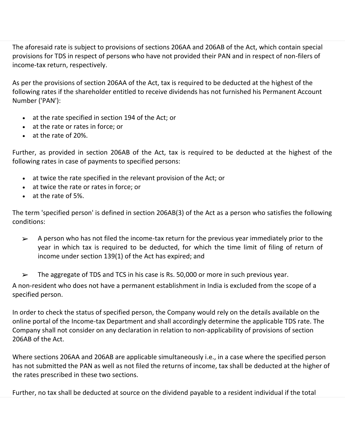The aforesaid rate is subject to provisions of sections 206AA and 206AB of the Act, which contain special provisions for TDS in respect of persons who have not provided their PAN and in respect of non-filers of income-tax return, respectively.

As per the provisions of section 206AA of the Act, tax is required to be deducted at the highest of the following rates if the shareholder entitled to receive dividends has not furnished his Permanent Account Number ('PAN'):

- at the rate specified in section 194 of the Act; or
- at the rate or rates in force; or
- at the rate of 20%.

Further, as provided in section 206AB of the Act, tax is required to be deducted at the highest of the following rates in case of payments to specified persons:

- at twice the rate specified in the relevant provision of the Act; or
- at twice the rate or rates in force; or
- at the rate of 5%.

The term 'specified person' is defined in section 206AB(3) of the Act as a person who satisfies the following conditions:

- ➢ A person who has not filed the income-tax return for the previous year immediately prior to the year in which tax is required to be deducted, for which the time limit of filing of return of income under section 139(1) of the Act has expired; and
- $\triangleright$  The aggregate of TDS and TCS in his case is Rs. 50,000 or more in such previous year.

A non-resident who does not have a permanent establishment in India is excluded from the scope of a specified person.

In order to check the status of specified person, the Company would rely on the details available on the online portal of the Income-tax Department and shall accordingly determine the applicable TDS rate. The Company shall not consider on any declaration in relation to non-applicability of provisions of section 206AB of the Act.

Where sections 206AA and 206AB are applicable simultaneously i.e., in a case where the specified person has not submitted the PAN as well as not filed the returns of income, tax shall be deducted at the higher of the rates prescribed in these two sections.

Further, no tax shall be deducted at source on the dividend payable to a resident individual if the total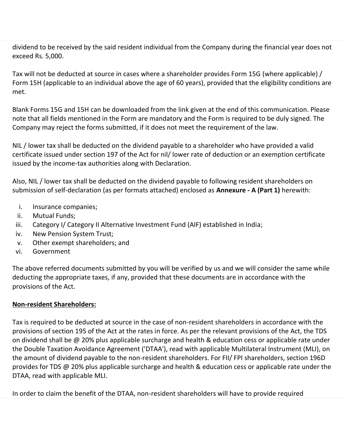dividend to be received by the said resident individual from the Company during the financial year does not exceed Rs. 5,000.

Tax will not be deducted at source in cases where a shareholder provides Form 15G (where applicable) / Form 15H (applicable to an individual above the age of 60 years), provided that the eligibility conditions are met.

Blank Forms 15G and 15H can be downloaded from the link given at the end of this communication. Please note that all fields mentioned in the Form are mandatory and the Form is required to be duly signed. The Company may reject the forms submitted, if it does not meet the requirement of the law.

NIL / lower tax shall be deducted on the dividend payable to a shareholder who have provided a valid certificate issued under section 197 of the Act for nil/ lower rate of deduction or an exemption certificate issued by the income-tax authorities along with Declaration.

Also, NIL / lower tax shall be deducted on the dividend payable to following resident shareholders on submission of self-declaration (as per formats attached) enclosed as **Annexure - A (Part 1)** herewith:

- i. Insurance companies;
- ii. Mutual Funds;
- iii. Category I/ Category II Alternative Investment Fund (AIF) established in India;
- iv. New Pension System Trust;
- v. Other exempt shareholders; and
- vi. Government

The above referred documents submitted by you will be verified by us and we will consider the same while deducting the appropriate taxes, if any, provided that these documents are in accordance with the provisions of the Act.

## **Non-resident Shareholders:**

Tax is required to be deducted at source in the case of non-resident shareholders in accordance with the provisions of section 195 of the Act at the rates in force. As per the relevant provisions of the Act, the TDS on dividend shall be @ 20% plus applicable surcharge and health & education cess or applicable rate under the Double Taxation Avoidance Agreement ('DTAA'), read with applicable Multilateral Instrument (MLI), on the amount of dividend payable to the non-resident shareholders. For FII/ FPI shareholders, section 196D provides for TDS @ 20% plus applicable surcharge and health & education cess or applicable rate under the DTAA, read with applicable MLI.

In order to claim the benefit of the DTAA, non-resident shareholders will have to provide required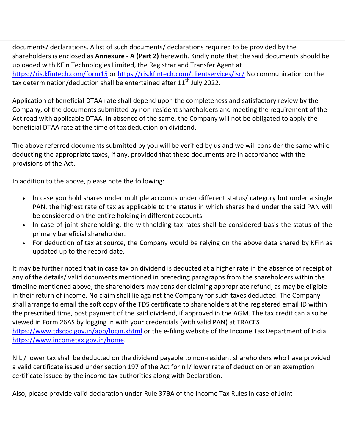documents/ declarations. A list of such documents/ declarations required to be provided by the shareholders is enclosed as **Annexure - A (Part 2)** herewith. Kindly note that the said documents should be uploaded with KFin Technologies Limited, the Registrar and Transfer Agent at [https://ris.kfintech.com/form15](https://ind01.safelinks.protection.outlook.com/?url=https%3A%2F%2Fris.kfintech.com%2Fform15&data=05%7C01%7Ckanhai.sharma%40kfintech.com%7C4171aa458daf4b37dd9408da52a91772%7C1f05907ac524467eb2e103a361253cb5%7C0%7C0%7C637913183451890897%7CUnknown%7CTWFpbGZsb3d8eyJWIjoiMC4wLjAwMDAiLCJQIjoiV2luMzIiLCJBTiI6Ik1haWwiLCJXVCI6Mn0%3D%7C3000%7C%7C%7C&sdata=47DI73ZMtRmls%2BCXSDNylJY7Jf6nDQivb1oHQ1w%2Bgco%3D&reserved=0) or [https://ris.kfintech.com/clientservices/isc/](https://ind01.safelinks.protection.outlook.com/?url=https%3A%2F%2Fris.kfintech.com%2Fclientservices%2Fisc%2F&data=05%7C01%7Ckanhai.sharma%40kfintech.com%7C4171aa458daf4b37dd9408da52a91772%7C1f05907ac524467eb2e103a361253cb5%7C0%7C0%7C637913183451890897%7CUnknown%7CTWFpbGZsb3d8eyJWIjoiMC4wLjAwMDAiLCJQIjoiV2luMzIiLCJBTiI6Ik1haWwiLCJXVCI6Mn0%3D%7C3000%7C%7C%7C&sdata=hncM9X0yxGCSqpiU38YsyWYnBkxaorz0Wy%2B8fPPibnQ%3D&reserved=0) No communication on the tax determination/deduction shall be entertained after  $11^{th}$  July 2022.

Application of beneficial DTAA rate shall depend upon the completeness and satisfactory review by the Company, of the documents submitted by non-resident shareholders and meeting the requirement of the Act read with applicable DTAA. In absence of the same, the Company will not be obligated to apply the beneficial DTAA rate at the time of tax deduction on dividend.

The above referred documents submitted by you will be verified by us and we will consider the same while deducting the appropriate taxes, if any, provided that these documents are in accordance with the provisions of the Act.

In addition to the above, please note the following:

- In case you hold shares under multiple accounts under different status/ category but under a single PAN, the highest rate of tax as applicable to the status in which shares held under the said PAN will be considered on the entire holding in different accounts.
- In case of joint shareholding, the withholding tax rates shall be considered basis the status of the primary beneficial shareholder.
- For deduction of tax at source, the Company would be relying on the above data shared by KFin as updated up to the record date.

It may be further noted that in case tax on dividend is deducted at a higher rate in the absence of receipt of any of the details/ valid documents mentioned in preceding paragraphs from the shareholders within the timeline mentioned above, the shareholders may consider claiming appropriate refund, as may be eligible in their return of income. No claim shall lie against the Company for such taxes deducted. The Company shall arrange to email the soft copy of the TDS certificate to shareholders at the registered email ID within the prescribed time, post payment of the said dividend, if approved in the AGM. The tax credit can also be viewed in Form 26AS by logging in with your credentials (with valid PAN) at TRACES [https://www.tdscpc.gov.in/app/login.xhtml](https://ind01.safelinks.protection.outlook.com/?url=https%3A%2F%2Fwww.tdscpc.gov.in%2Fapp%2Flogin.xhtml&data=05%7C01%7Ckanhai.sharma%40kfintech.com%7C4171aa458daf4b37dd9408da52a91772%7C1f05907ac524467eb2e103a361253cb5%7C0%7C0%7C637913183451890897%7CUnknown%7CTWFpbGZsb3d8eyJWIjoiMC4wLjAwMDAiLCJQIjoiV2luMzIiLCJBTiI6Ik1haWwiLCJXVCI6Mn0%3D%7C3000%7C%7C%7C&sdata=fKAKXXGvCJrwiWvKMEEi%2B5K%2FK%2BT9hoRjgf6InHOE3hY%3D&reserved=0) or the e-filing website of the Income Tax Department of India [https://www.incometax.gov.in/home.](https://ind01.safelinks.protection.outlook.com/?url=https%3A%2F%2Fwww.incometax.gov.in%2Fhome&data=05%7C01%7Ckanhai.sharma%40kfintech.com%7C4171aa458daf4b37dd9408da52a91772%7C1f05907ac524467eb2e103a361253cb5%7C0%7C0%7C637913183451890897%7CUnknown%7CTWFpbGZsb3d8eyJWIjoiMC4wLjAwMDAiLCJQIjoiV2luMzIiLCJBTiI6Ik1haWwiLCJXVCI6Mn0%3D%7C3000%7C%7C%7C&sdata=MrePNMbtiKhRs2lyn54WwbOmuWaOcfXNQFoFswvKoB4%3D&reserved=0)

NIL / lower tax shall be deducted on the dividend payable to non-resident shareholders who have provided a valid certificate issued under section 197 of the Act for nil/ lower rate of deduction or an exemption certificate issued by the income tax authorities along with Declaration.

Also, please provide valid declaration under Rule 37BA of the Income Tax Rules in case of Joint